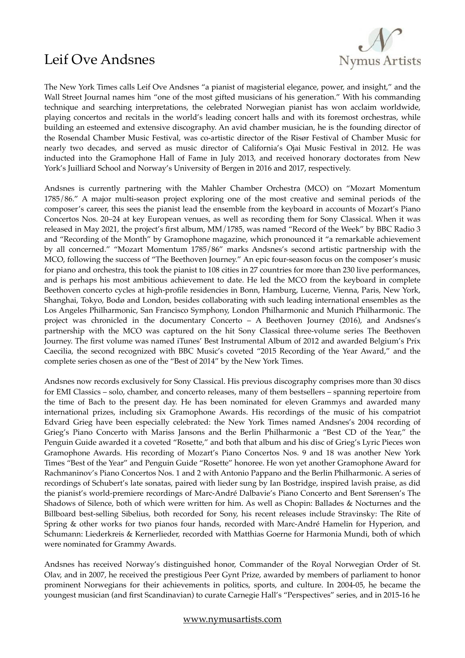## Leif Ove Andsnes



The New York Times calls Leif Ove Andsnes "a pianist of magisterial elegance, power, and insight," and the Wall Street Journal names him "one of the most gifted musicians of his generation." With his commanding technique and searching interpretations, the celebrated Norwegian pianist has won acclaim worldwide, playing concertos and recitals in the world's leading concert halls and with its foremost orchestras, while building an esteemed and extensive discography. An avid chamber musician, he is the founding director of the Rosendal Chamber Music Festival, was co-artistic director of the Risør Festival of Chamber Music for nearly two decades, and served as music director of California's Ojai Music Festival in 2012. He was inducted into the Gramophone Hall of Fame in July 2013, and received honorary doctorates from New York's Juilliard School and Norway's University of Bergen in 2016 and 2017, respectively.

Andsnes is currently partnering with the Mahler Chamber Orchestra (MCO) on "Mozart Momentum 1785/86." A major multi-season project exploring one of the most creative and seminal periods of the composer's career, this sees the pianist lead the ensemble from the keyboard in accounts of Mozart's Piano Concertos Nos. 20–24 at key European venues, as well as recording them for Sony Classical. When it was released in May 2021, the project's first album, MM/1785, was named "Record of the Week" by BBC Radio 3 and "Recording of the Month" by Gramophone magazine, which pronounced it "a remarkable achievement by all concerned." "Mozart Momentum 1785/86" marks Andsnes's second artistic partnership with the MCO, following the success of "The Beethoven Journey." An epic four-season focus on the composer's music for piano and orchestra, this took the pianist to 108 cities in 27 countries for more than 230 live performances, and is perhaps his most ambitious achievement to date. He led the MCO from the keyboard in complete Beethoven concerto cycles at high-profile residencies in Bonn, Hamburg, Lucerne, Vienna, Paris, New York, Shanghai, Tokyo, Bodø and London, besides collaborating with such leading international ensembles as the Los Angeles Philharmonic, San Francisco Symphony, London Philharmonic and Munich Philharmonic. The project was chronicled in the documentary Concerto – A Beethoven Journey (2016), and Andsnes's partnership with the MCO was captured on the hit Sony Classical three-volume series The Beethoven Journey. The first volume was named iTunes' Best Instrumental Album of 2012 and awarded Belgium's Prix Caecilia, the second recognized with BBC Music's coveted "2015 Recording of the Year Award," and the complete series chosen as one of the "Best of 2014" by the New York Times.

Andsnes now records exclusively for Sony Classical. His previous discography comprises more than 30 discs for EMI Classics – solo, chamber, and concerto releases, many of them bestsellers – spanning repertoire from the time of Bach to the present day. He has been nominated for eleven Grammys and awarded many international prizes, including six Gramophone Awards. His recordings of the music of his compatriot Edvard Grieg have been especially celebrated: the New York Times named Andsnes's 2004 recording of Grieg's Piano Concerto with Mariss Jansons and the Berlin Philharmonic a "Best CD of the Year," the Penguin Guide awarded it a coveted "Rosette," and both that album and his disc of Grieg's Lyric Pieces won Gramophone Awards. His recording of Mozart's Piano Concertos Nos. 9 and 18 was another New York Times "Best of the Year" and Penguin Guide "Rosette" honoree. He won yet another Gramophone Award for Rachmaninov's Piano Concertos Nos. 1 and 2 with Antonio Pappano and the Berlin Philharmonic. A series of recordings of Schubert's late sonatas, paired with lieder sung by Ian Bostridge, inspired lavish praise, as did the pianist's world-premiere recordings of Marc-André Dalbavie's Piano Concerto and Bent Sørensen's The Shadows of Silence, both of which were written for him. As well as Chopin: Ballades & Nocturnes and the Billboard best-selling Sibelius, both recorded for Sony, his recent releases include Stravinsky: The Rite of Spring & other works for two pianos four hands, recorded with Marc-André Hamelin for Hyperion, and Schumann: Liederkreis & Kernerlieder, recorded with Matthias Goerne for Harmonia Mundi, both of which were nominated for Grammy Awards.

Andsnes has received Norway's distinguished honor, Commander of the Royal Norwegian Order of St. Olav, and in 2007, he received the prestigious Peer Gynt Prize, awarded by members of parliament to honor prominent Norwegians for their achievements in politics, sports, and culture. In 2004-05, he became the youngest musician (and first Scandinavian) to curate Carnegie Hall's "Perspectives" series, and in 2015-16 he

## [www.nymusartists.com](http://www.nymusartists.com)